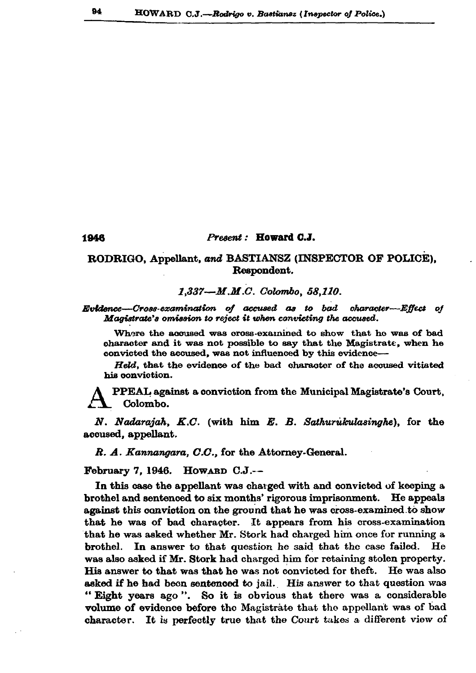## Present: Howard C.J.

## RODRIGO, Appellant, and BASTIANSZ (INSPECTOR OF POLICE), Respondent.

1.337-M.M.C. Colombo, 58.110.

Evidence—Cross-examination of accused as to bad character--Effect of Magistrate's omission to reject it when convicting the accused.

Where the accused was cross-examined to show that he was of bad character and it was not possible to say that the Magistrate, when he convicted the accused, was not influenced by this evidence-

Held, that the evidence of the bad character of the accused vitiated his conviction.

PPEAL against a conviction from the Municipal Magistrate's Court, Colombo.

N. Nadarajah, K.C. (with him E. B. Sathurukulasinghe), for the accused, appellant.

R. A. Kannangara, C.C., for the Attorney-General.

February 7, 1946. HOWARD  $C.J. -$ 

In this case the appellant was charged with and convicted of keeping a brothel and sentenced to six months' rigorous imprisonment. He appeals against this conviction on the ground that he was cross-examined to show that he was of bad character. It appears from his cross-examination that he was asked whether Mr. Stork had charged him once for running a brothel. In answer to that question he said that the case failed. He was also asked if Mr. Stork had charged him for retaining stolen property. His answer to that was that he was not convicted for theft. He was also asked if he had been sentenced to jail. His answer to that question was "Eight years ago". So it is obvious that there was a considerable volume of evidence before the Magistrate that the appellant was of bad character. It is perfectly true that the Court takes a different view of

1946